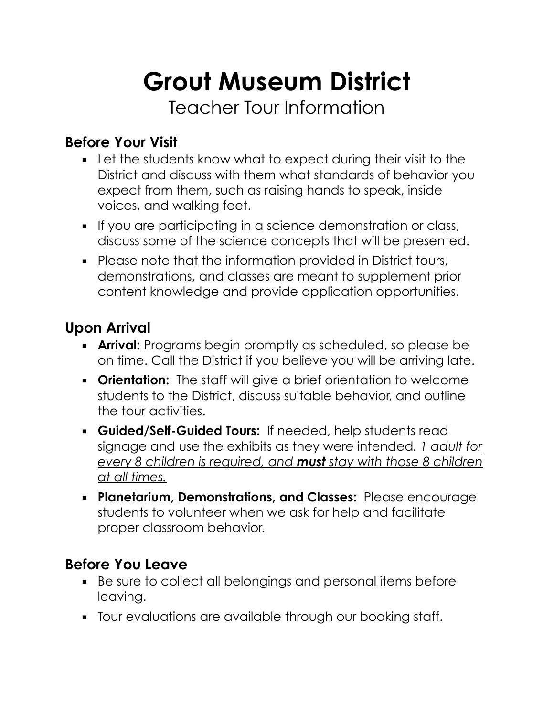# **Grout Museum District**

Teacher Tour Information

## **Before Your Visit**

- **EXECT:** Let the students know what to expect during their visit to the District and discuss with them what standards of behavior you expect from them, such as raising hands to speak, inside voices, and walking feet.
- **•** If you are participating in a science demonstration or class, discuss some of the science concepts that will be presented.
- Please note that the information provided in District tours, demonstrations, and classes are meant to supplement prior content knowledge and provide application opportunities.

## **Upon Arrival**

- **Arrival:** Programs begin promptly as scheduled, so please be on time. Call the District if you believe you will be arriving late.
- **Orientation:** The staff will give a brief orientation to welcome students to the District, discuss suitable behavior, and outline the tour activities.
- **Guided/Self-Guided Tours:** If needed, help students read signage and use the exhibits as they were intended*. 1 adult for every 8 children is required, and must stay with those 8 children at all times.*
- **Planetarium, Demonstrations, and Classes:** Please encourage students to volunteer when we ask for help and facilitate proper classroom behavior.

#### **Before You Leave**

- Be sure to collect all belongings and personal items before leaving.
- Tour evaluations are available through our booking staff.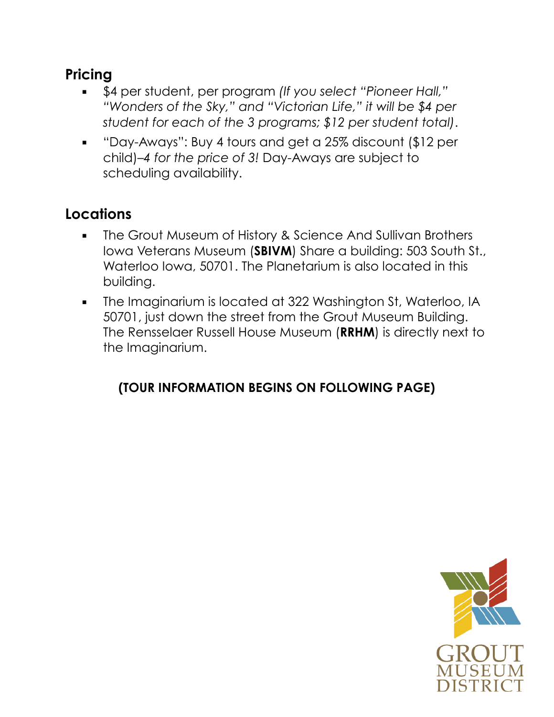## **Pricing**

- \$4 per student, per program *(If you select "Pioneer Hall," "Wonders of the Sky," and "Victorian Life," it will be \$4 per student for each of the 3 programs; \$12 per student total)*.
- "Day-Aways": Buy 4 tours and get a 25% discount (\$12 per child)–*4 for the price of 3!* Day-Aways are subject to scheduling availability.

# **Locations**

- **The Grout Museum of History & Science And Sullivan Brothers** Iowa Veterans Museum (**SBIVM**) Share a building: 503 South St., Waterloo Iowa, 50701. The Planetarium is also located in this building.
- **•** The Imaginarium is located at 322 Washington St, Waterloo, IA 50701, just down the street from the Grout Museum Building. The Rensselaer Russell House Museum (**RRHM**) is directly next to the Imaginarium.

#### **(TOUR INFORMATION BEGINS ON FOLLOWING PAGE)**

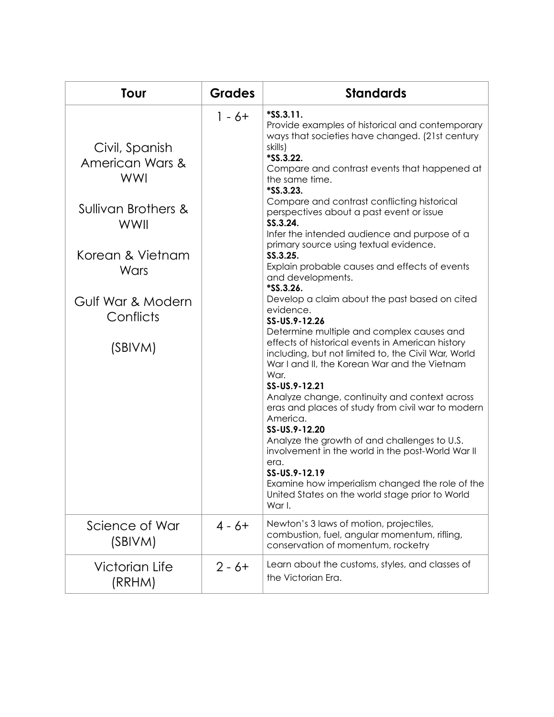| Tour                                                                                                                                                    | <b>Grades</b> | <b>Standards</b>                                                                                                                                                                                                                                                                                                                                                                                                                                                                                                                                                                                                                                                                                                                                                                                                                                                                                                                                                                                                                                                                                                                                                                                                          |
|---------------------------------------------------------------------------------------------------------------------------------------------------------|---------------|---------------------------------------------------------------------------------------------------------------------------------------------------------------------------------------------------------------------------------------------------------------------------------------------------------------------------------------------------------------------------------------------------------------------------------------------------------------------------------------------------------------------------------------------------------------------------------------------------------------------------------------------------------------------------------------------------------------------------------------------------------------------------------------------------------------------------------------------------------------------------------------------------------------------------------------------------------------------------------------------------------------------------------------------------------------------------------------------------------------------------------------------------------------------------------------------------------------------------|
| Civil, Spanish<br>American Wars &<br><b>WWI</b><br>Sullivan Brothers &<br>WWII<br>Korean & Vietnam<br>Wars<br>Gulf War & Modern<br>Conflicts<br>(SBIVM) | $1 - 6 +$     | \$S.S.3.11.<br>Provide examples of historical and contemporary<br>ways that societies have changed. (21st century<br>skills)<br>*SS.3.22.<br>Compare and contrast events that happened at<br>the same time.<br>*SS.3.23.<br>Compare and contrast conflicting historical<br>perspectives about a past event or issue<br>SS.3.24.<br>Infer the intended audience and purpose of a<br>primary source using textual evidence.<br>SS.3.25.<br>Explain probable causes and effects of events<br>and developments.<br>*SS.3.26.<br>Develop a claim about the past based on cited<br>evidence.<br>SS-US.9-12.26<br>Determine multiple and complex causes and<br>effects of historical events in American history<br>including, but not limited to, the Civil War, World<br>War I and II, the Korean War and the Vietnam<br>War.<br>SS-US.9-12.21<br>Analyze change, continuity and context across<br>eras and places of study from civil war to modern<br>America.<br>SS-US.9-12.20<br>Analyze the growth of and challenges to U.S.<br>involvement in the world in the post-World War II<br>era.<br>SS-US.9-12.19<br>Examine how imperialism changed the role of the<br>United States on the world stage prior to World<br>War I. |
| Science of War<br>(SBIVM)                                                                                                                               | $4 - 6 +$     | Newton's 3 laws of motion, projectiles,<br>combustion, fuel, angular momentum, rifling,<br>conservation of momentum, rocketry                                                                                                                                                                                                                                                                                                                                                                                                                                                                                                                                                                                                                                                                                                                                                                                                                                                                                                                                                                                                                                                                                             |
| <b>Victorian Life</b><br>(RRHM)                                                                                                                         | $2 - 6 +$     | Learn about the customs, styles, and classes of<br>the Victorian Era.                                                                                                                                                                                                                                                                                                                                                                                                                                                                                                                                                                                                                                                                                                                                                                                                                                                                                                                                                                                                                                                                                                                                                     |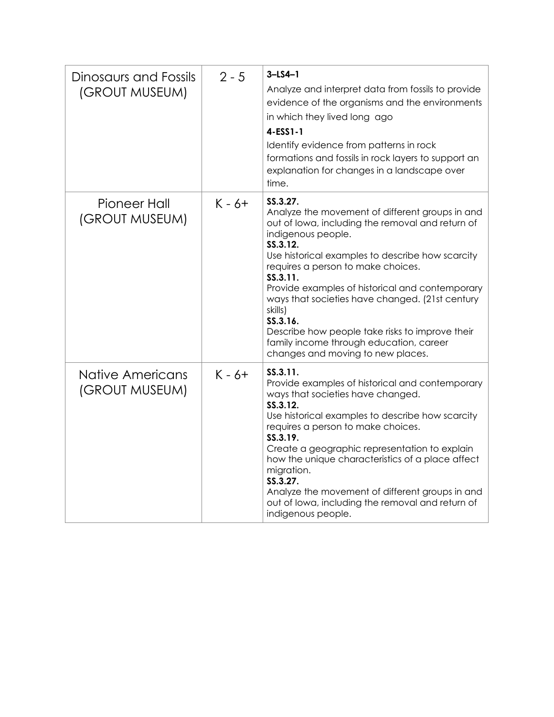| Dinosaurs and Fossils<br>(GROUT MUSEUM) | $2 - 5$  | $3 - LS4 - 1$<br>Analyze and interpret data from fossils to provide<br>evidence of the organisms and the environments<br>in which they lived long ago<br>4-ESS1-1<br>Identify evidence from patterns in rock<br>formations and fossils in rock layers to support an<br>explanation for changes in a landscape over<br>time.                                                                                                                                                                                             |
|-----------------------------------------|----------|-------------------------------------------------------------------------------------------------------------------------------------------------------------------------------------------------------------------------------------------------------------------------------------------------------------------------------------------------------------------------------------------------------------------------------------------------------------------------------------------------------------------------|
| Pioneer Hall<br>(GROUT MUSEUM)          | $K - 6+$ | SS.3.27.<br>Analyze the movement of different groups in and<br>out of lowa, including the removal and return of<br>indigenous people.<br>SS.3.12.<br>Use historical examples to describe how scarcity<br>requires a person to make choices.<br>SS.3.11.<br>Provide examples of historical and contemporary<br>ways that societies have changed. (21st century<br>skills)<br>SS.3.16.<br>Describe how people take risks to improve their<br>family income through education, career<br>changes and moving to new places. |
| Native Americans<br>(GROUT MUSEUM)      | $K - 6+$ | SS.3.11.<br>Provide examples of historical and contemporary<br>ways that societies have changed.<br>SS.3.12.<br>Use historical examples to describe how scarcity<br>requires a person to make choices.<br>SS.3.19.<br>Create a geographic representation to explain<br>how the unique characteristics of a place affect<br>migration.<br>SS.3.27.<br>Analyze the movement of different groups in and<br>out of lowa, including the removal and return of<br>indigenous people.                                          |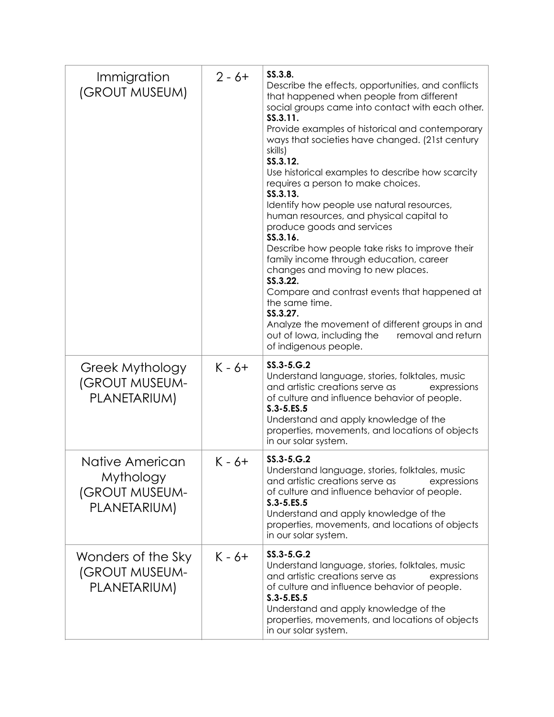| Immigration<br>(GROUT MUSEUM)                                         | $2 - 6 +$ | SS.3.8.<br>Describe the effects, opportunities, and conflicts<br>that happened when people from different<br>social groups came into contact with each other.<br>SS.3.11.<br>Provide examples of historical and contemporary<br>ways that societies have changed. (21st century<br>skills)<br>SS.3.12.<br>Use historical examples to describe how scarcity<br>requires a person to make choices.<br>SS.3.13.<br>Identify how people use natural resources,<br>human resources, and physical capital to<br>produce goods and services<br>SS.3.16.<br>Describe how people take risks to improve their<br>family income through education, career<br>changes and moving to new places.<br>SS.3.22.<br>Compare and contrast events that happened at<br>the same time.<br>SS.3.27.<br>Analyze the movement of different groups in and<br>out of lowa, including the<br>removal and return<br>of indigenous people. |
|-----------------------------------------------------------------------|-----------|---------------------------------------------------------------------------------------------------------------------------------------------------------------------------------------------------------------------------------------------------------------------------------------------------------------------------------------------------------------------------------------------------------------------------------------------------------------------------------------------------------------------------------------------------------------------------------------------------------------------------------------------------------------------------------------------------------------------------------------------------------------------------------------------------------------------------------------------------------------------------------------------------------------|
| Greek Mythology<br>(GROUT MUSEUM-<br>PLANETARIUM)                     | $K - 6+$  | $SS.3 - 5.G.2$<br>Understand language, stories, folktales, music<br>and artistic creations serve as<br>expressions<br>of culture and influence behavior of people.<br>$S.3 - 5.ES.5$<br>Understand and apply knowledge of the<br>properties, movements, and locations of objects<br>in our solar system.                                                                                                                                                                                                                                                                                                                                                                                                                                                                                                                                                                                                      |
| Native American<br>Mythology<br><b>(GROUT MUSEUM-</b><br>PLANETARIUM) | $K - 6+$  | $SS.3 - 5.G.2$<br>Understand language, stories, folktales, music<br>and artistic creations serve as<br>expressions<br>of culture and influence behavior of people.<br>$S.3 - 5.ES.5$<br>Understand and apply knowledge of the<br>properties, movements, and locations of objects<br>in our solar system.                                                                                                                                                                                                                                                                                                                                                                                                                                                                                                                                                                                                      |
| Wonders of the Sky<br>(GROUT MUSEUM-<br>PLANETARIUM)                  | $K - 6+$  | $SS.3 - 5.G.2$<br>Understand language, stories, folktales, music<br>and artistic creations serve as<br>expressions<br>of culture and influence behavior of people.<br>$S.3 - 5.ES.5$<br>Understand and apply knowledge of the<br>properties, movements, and locations of objects<br>in our solar system.                                                                                                                                                                                                                                                                                                                                                                                                                                                                                                                                                                                                      |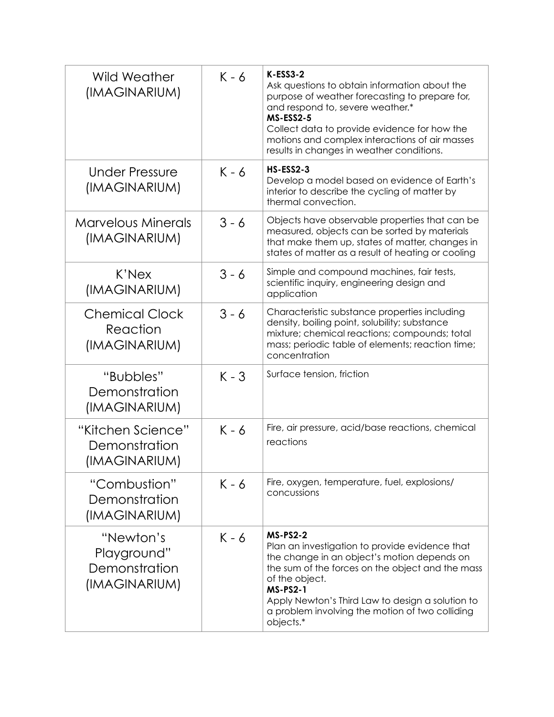| Wild Weather<br>(IMAGINARIUM)                              | $K - 6$ | $K-ESS3-2$<br>Ask questions to obtain information about the<br>purpose of weather forecasting to prepare for,<br>and respond to, severe weather.*<br><b>MS-ESS2-5</b><br>Collect data to provide evidence for how the<br>motions and complex interactions of air masses<br>results in changes in weather conditions.          |
|------------------------------------------------------------|---------|-------------------------------------------------------------------------------------------------------------------------------------------------------------------------------------------------------------------------------------------------------------------------------------------------------------------------------|
| <b>Under Pressure</b><br>(IMAGINARIUM)                     | $K - 6$ | <b>HS-ESS2-3</b><br>Develop a model based on evidence of Earth's<br>interior to describe the cycling of matter by<br>thermal convection.                                                                                                                                                                                      |
| <b>Marvelous Minerals</b><br>(IMAGINARIUM)                 | $3 - 6$ | Objects have observable properties that can be<br>measured, objects can be sorted by materials<br>that make them up, states of matter, changes in<br>states of matter as a result of heating or cooling                                                                                                                       |
| K'Nex<br>(IMAGINARIUM)                                     | $3 - 6$ | Simple and compound machines, fair tests,<br>scientific inquiry, engineering design and<br>application                                                                                                                                                                                                                        |
| <b>Chemical Clock</b><br>Reaction<br>(IMAGINARIUM)         | $3 - 6$ | Characteristic substance properties including<br>density, boiling point, solubility; substance<br>mixture; chemical reactions; compounds; total<br>mass; periodic table of elements; reaction time;<br>concentration                                                                                                          |
| "Bubbles"<br>Demonstration<br>(IMAGINARIUM)                | $K - 3$ | Surface tension, friction                                                                                                                                                                                                                                                                                                     |
| "Kitchen Science"<br>Demonstration<br>(IMAGINARIUM)        | $K - 6$ | Fire, air pressure, acid/base reactions, chemical<br>reactions                                                                                                                                                                                                                                                                |
| "Combustion"<br>Demonstration<br>(IMAGINARIUM)             | $K - 6$ | Fire, oxygen, temperature, fuel, explosions/<br>concussions                                                                                                                                                                                                                                                                   |
| "Newton's<br>Playground"<br>Demonstration<br>(IMAGINARIUM) | $K - 6$ | <b>MS-PS2-2</b><br>Plan an investigation to provide evidence that<br>the change in an object's motion depends on<br>the sum of the forces on the object and the mass<br>of the object.<br><b>MS-PS2-1</b><br>Apply Newton's Third Law to design a solution to<br>a problem involving the motion of two colliding<br>objects.* |